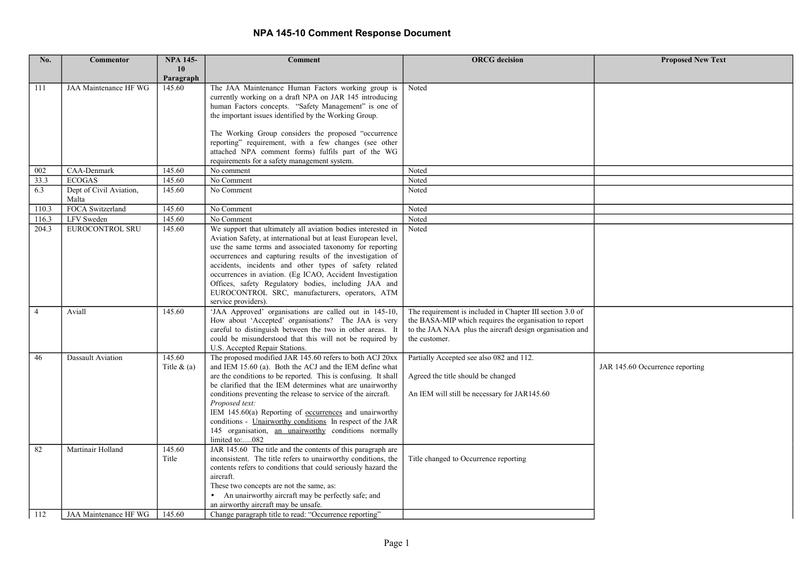| Paragraph<br>JAA Maintenance HF WG<br>145.60<br>The JAA Maintenance Human Factors working group is<br>Noted<br>111<br>currently working on a draft NPA on JAR 145 introducing<br>human Factors concepts. "Safety Management" is one of<br>the important issues identified by the Working Group.<br>The Working Group considers the proposed "occurrence<br>reporting" requirement, with a few changes (see other<br>attached NPA comment forms) fulfils part of the WG<br>requirements for a safety management system.<br>CAA-Denmark<br>145.60<br>No comment<br>002<br>Noted<br>33.3<br>145.60<br>No Comment<br><b>ECOGAS</b><br>Noted<br>Dept of Civil Aviation,<br>145.60<br>6.3<br>No Comment<br>Noted<br>Malta<br>FOCA Switzerland<br>110.3<br>145.60<br>No Comment<br>Noted<br><b>LFV</b> Sweden<br>145.60<br>No Comment<br>Noted<br>116.3<br>EUROCONTROL SRU<br>204.3<br>145.60<br>We support that ultimately all aviation bodies interested in<br>Noted<br>Aviation Safety, at international but at least European level,<br>use the same terms and associated taxonomy for reporting<br>occurrences and capturing results of the investigation of<br>accidents, incidents and other types of safety related<br>occurrences in aviation. (Eg ICAO, Accident Investigation<br>Offices, safety Regulatory bodies, including JAA and<br>EUROCONTROL SRC, manufacturers, operators, ATM<br>service providers).<br>'JAA Approved' organisations are called out in 145-10,<br>$\overline{4}$<br>Aviall<br>145.60<br>The requirement is included in Chapter III section 3.0 of<br>How about 'Accepted' organisations? The JAA is very<br>the BASA-MIP which requires the organisation to report<br>careful to distinguish between the two in other areas. It<br>to the JAA NAA plus the aircraft design organisation and<br>could be misunderstood that this will not be required by<br>the customer.<br>U.S. Accepted Repair Stations.<br>The proposed modified JAR 145.60 refers to both ACJ 20xx<br>Partially Accepted see also 082 and 112.<br>145.60<br>46<br>Dassault Aviation<br>and IEM 15.60 (a). Both the ACJ and the IEM define what<br>Title $\&$ (a)<br>are the conditions to be reported. This is confusing. It shall<br>Agreed the title should be changed<br>be clarified that the IEM determines what are unairworthy<br>conditions preventing the release to service of the aircraft.<br>An IEM will still be necessary for JAR145.60<br>Proposed text:<br>IEM 145.60(a) Reporting of occurrences and unairworthy<br>conditions - Unairworthy conditions In respect of the JAR<br>145 organisation, an unairworthy conditions normally<br>limited to:082<br>JAR 145.60 The title and the contents of this paragraph are<br>82<br>Martinair Holland<br>145.60<br>Title<br>inconsistent. The title refers to unairworthy conditions, the<br>Title changed to Occurrence reporting<br>contents refers to conditions that could seriously hazard the | No. | <b>Commentor</b> | <b>NPA 145-</b><br>10 | <b>Comment</b> | <b>ORCG</b> decision | <b>Proposed New Text</b>        |
|---------------------------------------------------------------------------------------------------------------------------------------------------------------------------------------------------------------------------------------------------------------------------------------------------------------------------------------------------------------------------------------------------------------------------------------------------------------------------------------------------------------------------------------------------------------------------------------------------------------------------------------------------------------------------------------------------------------------------------------------------------------------------------------------------------------------------------------------------------------------------------------------------------------------------------------------------------------------------------------------------------------------------------------------------------------------------------------------------------------------------------------------------------------------------------------------------------------------------------------------------------------------------------------------------------------------------------------------------------------------------------------------------------------------------------------------------------------------------------------------------------------------------------------------------------------------------------------------------------------------------------------------------------------------------------------------------------------------------------------------------------------------------------------------------------------------------------------------------------------------------------------------------------------------------------------------------------------------------------------------------------------------------------------------------------------------------------------------------------------------------------------------------------------------------------------------------------------------------------------------------------------------------------------------------------------------------------------------------------------------------------------------------------------------------------------------------------------------------------------------------------------------------------------------------------------------------------------------------------------------------------------------------------------------------------------------------------------------------------------------------------------------------------------------------------------------------------------------------------------------------------------------------------------------------------------------------------------------|-----|------------------|-----------------------|----------------|----------------------|---------------------------------|
|                                                                                                                                                                                                                                                                                                                                                                                                                                                                                                                                                                                                                                                                                                                                                                                                                                                                                                                                                                                                                                                                                                                                                                                                                                                                                                                                                                                                                                                                                                                                                                                                                                                                                                                                                                                                                                                                                                                                                                                                                                                                                                                                                                                                                                                                                                                                                                                                                                                                                                                                                                                                                                                                                                                                                                                                                                                                                                                                                                     |     |                  |                       |                |                      |                                 |
|                                                                                                                                                                                                                                                                                                                                                                                                                                                                                                                                                                                                                                                                                                                                                                                                                                                                                                                                                                                                                                                                                                                                                                                                                                                                                                                                                                                                                                                                                                                                                                                                                                                                                                                                                                                                                                                                                                                                                                                                                                                                                                                                                                                                                                                                                                                                                                                                                                                                                                                                                                                                                                                                                                                                                                                                                                                                                                                                                                     |     |                  |                       |                |                      |                                 |
|                                                                                                                                                                                                                                                                                                                                                                                                                                                                                                                                                                                                                                                                                                                                                                                                                                                                                                                                                                                                                                                                                                                                                                                                                                                                                                                                                                                                                                                                                                                                                                                                                                                                                                                                                                                                                                                                                                                                                                                                                                                                                                                                                                                                                                                                                                                                                                                                                                                                                                                                                                                                                                                                                                                                                                                                                                                                                                                                                                     |     |                  |                       |                |                      |                                 |
|                                                                                                                                                                                                                                                                                                                                                                                                                                                                                                                                                                                                                                                                                                                                                                                                                                                                                                                                                                                                                                                                                                                                                                                                                                                                                                                                                                                                                                                                                                                                                                                                                                                                                                                                                                                                                                                                                                                                                                                                                                                                                                                                                                                                                                                                                                                                                                                                                                                                                                                                                                                                                                                                                                                                                                                                                                                                                                                                                                     |     |                  |                       |                |                      |                                 |
|                                                                                                                                                                                                                                                                                                                                                                                                                                                                                                                                                                                                                                                                                                                                                                                                                                                                                                                                                                                                                                                                                                                                                                                                                                                                                                                                                                                                                                                                                                                                                                                                                                                                                                                                                                                                                                                                                                                                                                                                                                                                                                                                                                                                                                                                                                                                                                                                                                                                                                                                                                                                                                                                                                                                                                                                                                                                                                                                                                     |     |                  |                       |                |                      |                                 |
|                                                                                                                                                                                                                                                                                                                                                                                                                                                                                                                                                                                                                                                                                                                                                                                                                                                                                                                                                                                                                                                                                                                                                                                                                                                                                                                                                                                                                                                                                                                                                                                                                                                                                                                                                                                                                                                                                                                                                                                                                                                                                                                                                                                                                                                                                                                                                                                                                                                                                                                                                                                                                                                                                                                                                                                                                                                                                                                                                                     |     |                  |                       |                |                      |                                 |
|                                                                                                                                                                                                                                                                                                                                                                                                                                                                                                                                                                                                                                                                                                                                                                                                                                                                                                                                                                                                                                                                                                                                                                                                                                                                                                                                                                                                                                                                                                                                                                                                                                                                                                                                                                                                                                                                                                                                                                                                                                                                                                                                                                                                                                                                                                                                                                                                                                                                                                                                                                                                                                                                                                                                                                                                                                                                                                                                                                     |     |                  |                       |                |                      |                                 |
|                                                                                                                                                                                                                                                                                                                                                                                                                                                                                                                                                                                                                                                                                                                                                                                                                                                                                                                                                                                                                                                                                                                                                                                                                                                                                                                                                                                                                                                                                                                                                                                                                                                                                                                                                                                                                                                                                                                                                                                                                                                                                                                                                                                                                                                                                                                                                                                                                                                                                                                                                                                                                                                                                                                                                                                                                                                                                                                                                                     |     |                  |                       |                |                      |                                 |
|                                                                                                                                                                                                                                                                                                                                                                                                                                                                                                                                                                                                                                                                                                                                                                                                                                                                                                                                                                                                                                                                                                                                                                                                                                                                                                                                                                                                                                                                                                                                                                                                                                                                                                                                                                                                                                                                                                                                                                                                                                                                                                                                                                                                                                                                                                                                                                                                                                                                                                                                                                                                                                                                                                                                                                                                                                                                                                                                                                     |     |                  |                       |                |                      |                                 |
|                                                                                                                                                                                                                                                                                                                                                                                                                                                                                                                                                                                                                                                                                                                                                                                                                                                                                                                                                                                                                                                                                                                                                                                                                                                                                                                                                                                                                                                                                                                                                                                                                                                                                                                                                                                                                                                                                                                                                                                                                                                                                                                                                                                                                                                                                                                                                                                                                                                                                                                                                                                                                                                                                                                                                                                                                                                                                                                                                                     |     |                  |                       |                |                      | JAR 145.60 Occurrence reporting |
| These two concepts are not the same, as:<br>• An unairworthy aircraft may be perfectly safe; and<br>an airworthy aircraft may be unsafe.<br>JAA Maintenance HF WG<br>Change paragraph title to read: "Occurrence reporting"<br>145.60<br>112                                                                                                                                                                                                                                                                                                                                                                                                                                                                                                                                                                                                                                                                                                                                                                                                                                                                                                                                                                                                                                                                                                                                                                                                                                                                                                                                                                                                                                                                                                                                                                                                                                                                                                                                                                                                                                                                                                                                                                                                                                                                                                                                                                                                                                                                                                                                                                                                                                                                                                                                                                                                                                                                                                                        |     |                  |                       | aircraft.      |                      |                                 |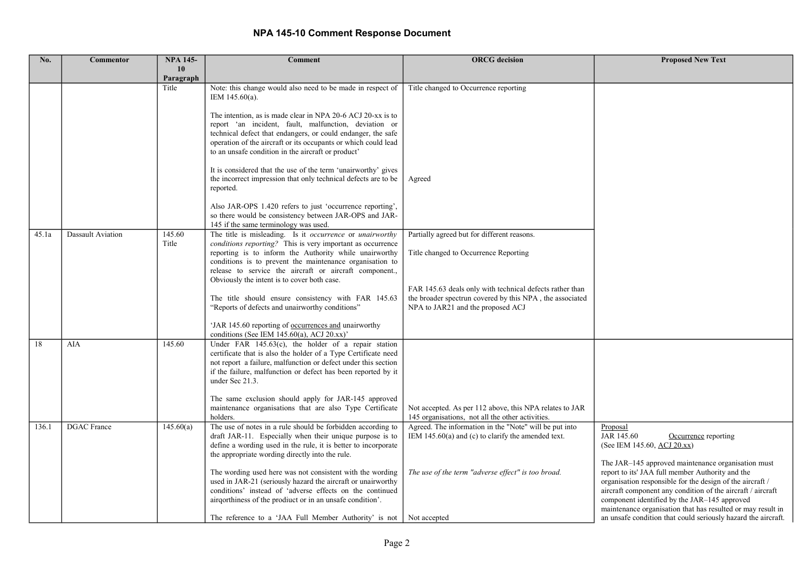| No.   | <b>Commentor</b>         | <b>NPA 145-</b> | <b>Comment</b>                                                                                                                                                                                                                                                                                                                                                                                                                                                                                                                                                                                                                                                         | <b>ORCG</b> decision                                                                                                                                                                                                                              | <b>Proposed New Text</b>                                                                                                                                                                                                                                                                                                                                                                                                                                                                            |
|-------|--------------------------|-----------------|------------------------------------------------------------------------------------------------------------------------------------------------------------------------------------------------------------------------------------------------------------------------------------------------------------------------------------------------------------------------------------------------------------------------------------------------------------------------------------------------------------------------------------------------------------------------------------------------------------------------------------------------------------------------|---------------------------------------------------------------------------------------------------------------------------------------------------------------------------------------------------------------------------------------------------|-----------------------------------------------------------------------------------------------------------------------------------------------------------------------------------------------------------------------------------------------------------------------------------------------------------------------------------------------------------------------------------------------------------------------------------------------------------------------------------------------------|
|       |                          | 10<br>Paragraph |                                                                                                                                                                                                                                                                                                                                                                                                                                                                                                                                                                                                                                                                        |                                                                                                                                                                                                                                                   |                                                                                                                                                                                                                                                                                                                                                                                                                                                                                                     |
|       |                          | Title           | Note: this change would also need to be made in respect of<br>IEM $145.60(a)$ .<br>The intention, as is made clear in NPA 20-6 ACJ 20-xx is to<br>report 'an incident, fault, malfunction, deviation or<br>technical defect that endangers, or could endanger, the safe<br>operation of the aircraft or its occupants or which could lead<br>to an unsafe condition in the aircraft or product'<br>It is considered that the use of the term 'unairworthy' gives<br>the incorrect impression that only technical defects are to be<br>reported.<br>Also JAR-OPS 1.420 refers to just 'occurrence reporting',<br>so there would be consistency between JAR-OPS and JAR- | Title changed to Occurrence reporting<br>Agreed                                                                                                                                                                                                   |                                                                                                                                                                                                                                                                                                                                                                                                                                                                                                     |
| 45.1a | <b>Dassault Aviation</b> | 145.60<br>Title | 145 if the same terminology was used.<br>The title is misleading. Is it occurrence or unairworthy<br>conditions reporting? This is very important as occurrence<br>reporting is to inform the Authority while unairworthy<br>conditions is to prevent the maintenance organisation to<br>release to service the aircraft or aircraft component.<br>Obviously the intent is to cover both case.<br>The title should ensure consistency with FAR 145.63<br>"Reports of defects and unairworthy conditions"<br>'JAR 145.60 reporting of occurrences and unairworthy<br>conditions (See IEM 145.60(a), ACJ 20.xx)'                                                         | Partially agreed but for different reasons.<br>Title changed to Occurrence Reporting<br>FAR 145.63 deals only with technical defects rather than<br>the broader spectrun covered by this NPA, the associated<br>NPA to JAR21 and the proposed ACJ |                                                                                                                                                                                                                                                                                                                                                                                                                                                                                                     |
| 18    | <b>AIA</b>               | 145.60          | Under FAR $145.63(c)$ , the holder of a repair station<br>certificate that is also the holder of a Type Certificate need<br>not report a failure, malfunction or defect under this section<br>if the failure, malfunction or defect has been reported by it<br>under Sec 21.3.<br>The same exclusion should apply for JAR-145 approved<br>maintenance organisations that are also Type Certificate<br>holders.                                                                                                                                                                                                                                                         | Not accepted. As per 112 above, this NPA relates to JAR<br>145 organisations, not all the other activities.                                                                                                                                       |                                                                                                                                                                                                                                                                                                                                                                                                                                                                                                     |
| 136.1 | <b>DGAC</b> France       | 145.60(a)       | The use of notes in a rule should be forbidden according to<br>draft JAR-11. Especially when their unique purpose is to<br>define a wording used in the rule, it is better to incorporate<br>the appropriate wording directly into the rule.<br>The wording used here was not consistent with the wording<br>used in JAR-21 (seriously hazard the aircraft or unairworthy<br>conditions' instead of 'adverse effects on the continued<br>airgorthiness of the prodiuct or in an unsafe condition'.<br>The reference to a 'JAA Full Member Authority' is not   Not accepted                                                                                             | Agreed. The information in the "Note" will be put into<br>IEM $145.60(a)$ and (c) to clarify the amended text.<br>The use of the term "adverse effect" is too broad.                                                                              | Proposal<br>JAR 145.60<br>Occurrence reporting<br>(See IEM 145.60, ACJ 20.xx)<br>The JAR-145 approved maintenance organisation must<br>report to its' JAA full member Authority and the<br>organisation responsible for the design of the aircraft /<br>aircraft component any condition of the aircraft / aircraft<br>component identified by the JAR-145 approved<br>maintenance organisation that has resulted or may result in<br>an unsafe condition that could seriously hazard the aircraft. |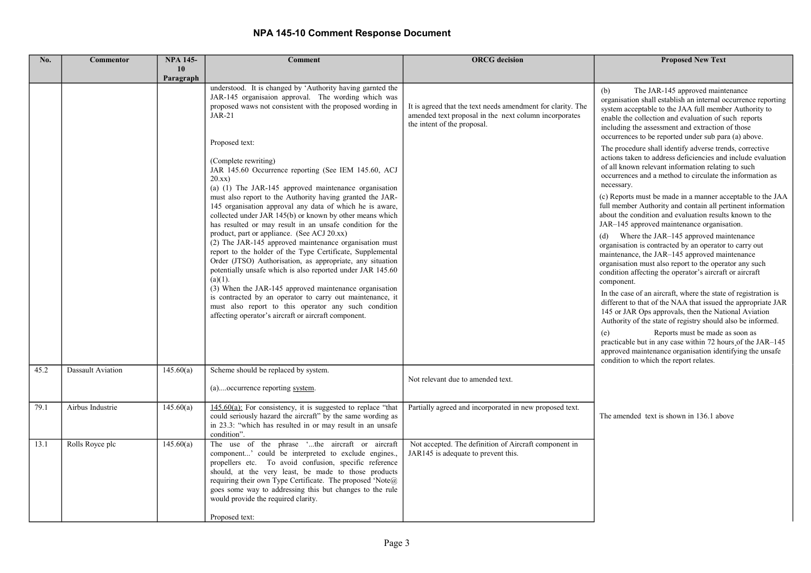| No.  | <b>Commentor</b>  | <b>NPA 145-</b> | <b>Comment</b>                                                                                                                                                                                                                                                                                                                                                                                              | <b>ORCG</b> decision                                                                                                                                | <b>Proposed New Text</b>                                                                                                                                                                                                                                                                                                              |
|------|-------------------|-----------------|-------------------------------------------------------------------------------------------------------------------------------------------------------------------------------------------------------------------------------------------------------------------------------------------------------------------------------------------------------------------------------------------------------------|-----------------------------------------------------------------------------------------------------------------------------------------------------|---------------------------------------------------------------------------------------------------------------------------------------------------------------------------------------------------------------------------------------------------------------------------------------------------------------------------------------|
|      |                   | 10<br>Paragraph |                                                                                                                                                                                                                                                                                                                                                                                                             |                                                                                                                                                     |                                                                                                                                                                                                                                                                                                                                       |
|      |                   |                 | understood. It is changed by 'Authority having garnted the<br>JAR-145 organisaion approval. The wording which was<br>proposed waws not consistent with the proposed wording in<br>$JAR-21$<br>Proposed text:                                                                                                                                                                                                | It is agreed that the text needs amendment for clarity. The<br>amended text proposal in the next column incorporates<br>the intent of the proposal. | The JAR-145 approved maintenance<br>(b)<br>organisation shall establish an internal occurrence reporting<br>system acceptable to the JAA full member Authority to<br>enable the collection and evaluation of such reports<br>including the assessment and extraction of those<br>occurrences to be reported under sub para (a) above. |
|      |                   |                 | (Complete rewriting)<br>JAR 145.60 Occurrence reporting (See IEM 145.60, ACJ<br>20.xx)<br>(a) (1) The JAR-145 approved maintenance organisation                                                                                                                                                                                                                                                             |                                                                                                                                                     | The procedure shall identify adverse trends, corrective<br>actions taken to address deficiencies and include evaluation<br>of all known relevant information relating to such<br>occurrences and a method to circulate the information as<br>necessary.                                                                               |
|      |                   |                 | must also report to the Authority having granted the JAR-<br>145 organisation approval any data of which he is aware,<br>collected under JAR 145(b) or known by other means which<br>has resulted or may result in an unsafe condition for the                                                                                                                                                              |                                                                                                                                                     | (c) Reports must be made in a manner acceptable to the JAA<br>full member Authority and contain all pertinent information<br>about the condition and evaluation results known to the<br>JAR-145 approved maintenance organisation.                                                                                                    |
|      |                   |                 | product, part or appliance. (See ACJ 20.xx)<br>(2) The JAR-145 approved maintenance organisation must<br>report to the holder of the Type Certificate, Supplemental<br>Order (JTSO) Authorisation, as appropriate, any situation<br>potentially unsafe which is also reported under JAR 145.60<br>$(a)(1)$ .<br>(3) When the JAR-145 approved maintenance organisation                                      |                                                                                                                                                     | Where the JAR-145 approved maintenance<br>(d)<br>organisation is contracted by an operator to carry out<br>maintenance, the JAR-145 approved maintenance<br>organisation must also report to the operator any such<br>condition affecting the operator's aircraft or aircraft<br>component.                                           |
|      |                   |                 | is contracted by an operator to carry out maintenance, it<br>must also report to this operator any such condition<br>affecting operator's aircraft or aircraft component.                                                                                                                                                                                                                                   |                                                                                                                                                     | In the case of an aircraft, where the state of registration is<br>different to that of the NAA that issued the appropriate JAR<br>145 or JAR Ops approvals, then the National Aviation<br>Authority of the state of registry should also be informed.                                                                                 |
|      |                   |                 |                                                                                                                                                                                                                                                                                                                                                                                                             |                                                                                                                                                     | Reports must be made as soon as<br>(e)<br>practicable but in any case within 72 hours of the JAR-145<br>approved maintenance organisation identifying the unsafe<br>condition to which the report relates.                                                                                                                            |
| 45.2 | Dassault Aviation | 145.60(a)       | Scheme should be replaced by system.<br>(a)occurrence reporting system.                                                                                                                                                                                                                                                                                                                                     | Not relevant due to amended text.                                                                                                                   |                                                                                                                                                                                                                                                                                                                                       |
| 79.1 | Airbus Industrie  | 145.60(a)       | $145.60(a)$ : For consistency, it is suggested to replace "that<br>could seriously hazard the aircraft" by the same wording as<br>in 23.3: "which has resulted in or may result in an unsafe<br>condition".                                                                                                                                                                                                 | Partially agreed and incorporated in new proposed text.                                                                                             | The amended text is shown in 136.1 above                                                                                                                                                                                                                                                                                              |
| 13.1 | Rolls Royce plc   | 145.60(a)       | The use of the phrase 'the aircraft or aircraft<br>component' could be interpreted to exclude engines.,<br>propellers etc. To avoid confusion, specific reference<br>should, at the very least, be made to those products<br>requiring their own Type Certificate. The proposed 'Note@<br>goes some way to addressing this but changes to the rule<br>would provide the required clarity.<br>Proposed text: | Not accepted. The definition of Aircraft component in<br>JAR145 is adequate to prevent this.                                                        |                                                                                                                                                                                                                                                                                                                                       |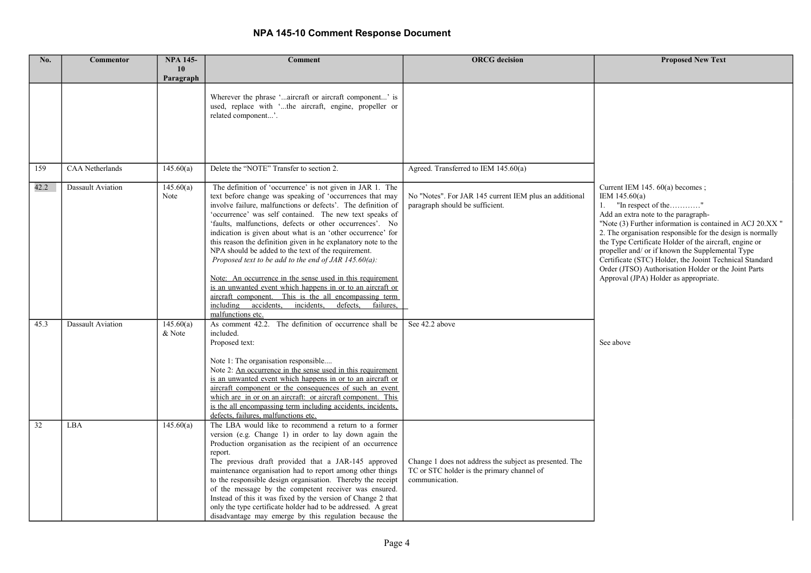| No.  | <b>Commentor</b>         | <b>NPA 145-</b><br>10<br>Paragraph | <b>Comment</b>                                                                                                                                                                                                                                                                                                                                                                                                                                                                                                                                                                                                                                                                                                                                                                                                                    | <b>ORCG</b> decision                                                                                                    | <b>Proposed New Text</b>                                                                                                                                                                                                                                                                                                                                                                                                                                                                                                     |
|------|--------------------------|------------------------------------|-----------------------------------------------------------------------------------------------------------------------------------------------------------------------------------------------------------------------------------------------------------------------------------------------------------------------------------------------------------------------------------------------------------------------------------------------------------------------------------------------------------------------------------------------------------------------------------------------------------------------------------------------------------------------------------------------------------------------------------------------------------------------------------------------------------------------------------|-------------------------------------------------------------------------------------------------------------------------|------------------------------------------------------------------------------------------------------------------------------------------------------------------------------------------------------------------------------------------------------------------------------------------------------------------------------------------------------------------------------------------------------------------------------------------------------------------------------------------------------------------------------|
|      |                          |                                    | Wherever the phrase 'aircraft or aircraft component' is<br>used, replace with 'the aircraft, engine, propeller or<br>related component'.                                                                                                                                                                                                                                                                                                                                                                                                                                                                                                                                                                                                                                                                                          |                                                                                                                         |                                                                                                                                                                                                                                                                                                                                                                                                                                                                                                                              |
| 159  | <b>CAA</b> Netherlands   | 145.60(a)                          | Delete the "NOTE" Transfer to section 2.                                                                                                                                                                                                                                                                                                                                                                                                                                                                                                                                                                                                                                                                                                                                                                                          | Agreed. Transferred to IEM $145.60(a)$                                                                                  |                                                                                                                                                                                                                                                                                                                                                                                                                                                                                                                              |
| 42.2 | Dassault Aviation        | 145.60(a)<br>Note                  | The definition of 'occurrence' is not given in JAR 1. The<br>text before change was speaking of 'occurrences that may<br>involve failure, malfunctions or defects'. The definition of<br>'occurrence' was self contained. The new text speaks of<br>'faults, malfunctions, defects or other occurrences'. No<br>indication is given about what is an 'other occurrence' for<br>this reason the definition given in he explanatory note to the<br>NPA should be added to the text of the requirement.<br>Proposed text to be add to the end of JAR 145.60(a):<br>Note: An occurrence in the sense used in this requirement<br>is an unwanted event which happens in or to an aircraft or<br>aircraft component. This is the all encompassing term<br>including accidents, incidents,<br>defects,<br>failures.<br>malfunctions etc. | No "Notes". For JAR 145 current IEM plus an additional<br>paragraph should be sufficient.                               | Current IEM 145. $60(a)$ becomes;<br>IEM $145.60(a)$<br>"In respect of the"<br>1.<br>Add an extra note to the paragraph-<br>"Note (3) Further information is contained in ACJ 20.XX"<br>2. The organisation responsible for the design is normally<br>the Type Certificate Holder of the aircraft, engine or<br>propeller and/ or if known the Supplemental Type<br>Certificate (STC) Holder, the Jooint Technical Standard<br>Order (JTSO) Authorisation Holder or the Joint Parts<br>Approval (JPA) Holder as appropriate. |
| 45.3 | <b>Dassault Aviation</b> | 145.60(a)<br>& Note                | As comment 42.2. The definition of occurrence shall be<br>included.<br>Proposed text:<br>Note 1: The organisation responsible<br>Note 2: An occurrence in the sense used in this requirement<br>is an unwanted event which happens in or to an aircraft or<br>aircraft component or the consequences of such an event<br>which are in or on an aircraft: or aircraft component. This<br>is the all encompassing term including accidents, incidents,                                                                                                                                                                                                                                                                                                                                                                              | See 42.2 above                                                                                                          | See above                                                                                                                                                                                                                                                                                                                                                                                                                                                                                                                    |
| 32   | LBA                      | 145.60(a)                          | defects, failures, malfunctions etc.<br>The LBA would like to recommend a return to a former<br>version (e.g. Change 1) in order to lay down again the<br>Production organisation as the recipient of an occurrence<br>report.<br>The previous draft provided that a JAR-145 approved<br>maintenance organisation had to report among other things<br>to the responsible design organisation. Thereby the receipt<br>of the message by the competent receiver was ensured.<br>Instead of this it was fixed by the version of Change 2 that<br>only the type certificate holder had to be addressed. A great<br>disadvantage may emerge by this regulation because the                                                                                                                                                             | Change 1 does not address the subject as presented. The<br>TC or STC holder is the primary channel of<br>communication. |                                                                                                                                                                                                                                                                                                                                                                                                                                                                                                                              |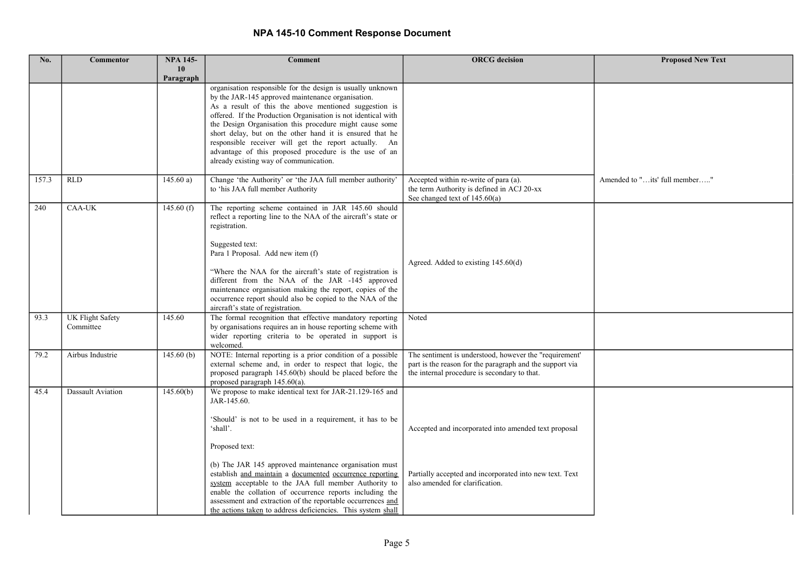| No.   | Commentor                            | <b>NPA 145-</b><br>10   | <b>Comment</b>                                                                                                                                                                                                                                                                                                                                                                                                                                                                                                                               | <b>ORCG</b> decision                                                                                                                                               | <b>Proposed New Text</b>      |
|-------|--------------------------------------|-------------------------|----------------------------------------------------------------------------------------------------------------------------------------------------------------------------------------------------------------------------------------------------------------------------------------------------------------------------------------------------------------------------------------------------------------------------------------------------------------------------------------------------------------------------------------------|--------------------------------------------------------------------------------------------------------------------------------------------------------------------|-------------------------------|
|       |                                      | Paragraph               |                                                                                                                                                                                                                                                                                                                                                                                                                                                                                                                                              |                                                                                                                                                                    |                               |
|       |                                      |                         | organisation responsible for the design is usually unknown<br>by the JAR-145 approved maintenance organisation.<br>As a result of this the above mentioned suggestion is<br>offered. If the Production Organisation is not identical with<br>the Design Organisation this procedure might cause some<br>short delay, but on the other hand it is ensured that he<br>responsible receiver will get the report actually. An<br>advantage of this proposed procedure is the use of an<br>already existing way of communication.                 |                                                                                                                                                                    |                               |
| 157.3 | <b>RLD</b>                           | 145.60 a)               | Change 'the Authority' or 'the JAA full member authority'<br>to 'his JAA full member Authority                                                                                                                                                                                                                                                                                                                                                                                                                                               | Accepted within re-write of para (a).<br>the term Authority is defined in ACJ 20-xx<br>See changed text of $145.60(a)$                                             | Amended to "its' full member" |
| 240   | <b>CAA-UK</b>                        | $\overline{145.60}$ (f) | The reporting scheme contained in JAR 145.60 should<br>reflect a reporting line to the NAA of the aircraft's state or<br>registration.<br>Suggested text:<br>Para 1 Proposal. Add new item (f)<br>"Where the NAA for the aircraft's state of registration is<br>different from the NAA of the JAR -145 approved<br>maintenance organisation making the report, copies of the<br>occurrence report should also be copied to the NAA of the<br>aircraft's state of registration.                                                               | Agreed. Added to existing $145.60(d)$                                                                                                                              |                               |
| 93.3  | <b>UK Flight Safety</b><br>Committee | 145.60                  | The formal recognition that effective mandatory reporting<br>by organisations requires an in house reporting scheme with<br>wider reporting criteria to be operated in support is<br>welcomed.                                                                                                                                                                                                                                                                                                                                               | Noted                                                                                                                                                              |                               |
| 79.2  | Airbus Industrie                     | 145.60(b)               | NOTE: Internal reporting is a prior condition of a possible<br>external scheme and, in order to respect that logic, the<br>proposed paragraph 145.60(b) should be placed before the<br>proposed paragraph 145.60(a).                                                                                                                                                                                                                                                                                                                         | The sentiment is understood, however the "requirement"<br>part is the reason for the paragraph and the support via<br>the internal procedure is secondary to that. |                               |
| 45.4  | <b>Dassault Aviation</b>             | 145.60(b)               | We propose to make identical text for JAR-21.129-165 and<br>JAR-145.60.<br>'Should' is not to be used in a requirement, it has to be<br>'shall'.<br>Proposed text:<br>(b) The JAR 145 approved maintenance organisation must<br>establish and maintain a documented occurrence reporting<br>system acceptable to the JAA full member Authority to<br>enable the collation of occurrence reports including the<br>assessment and extraction of the reportable occurrences and<br>the actions taken to address deficiencies. This system shall | Accepted and incorporated into amended text proposal<br>Partially accepted and incorporated into new text. Text<br>also amended for clarification.                 |                               |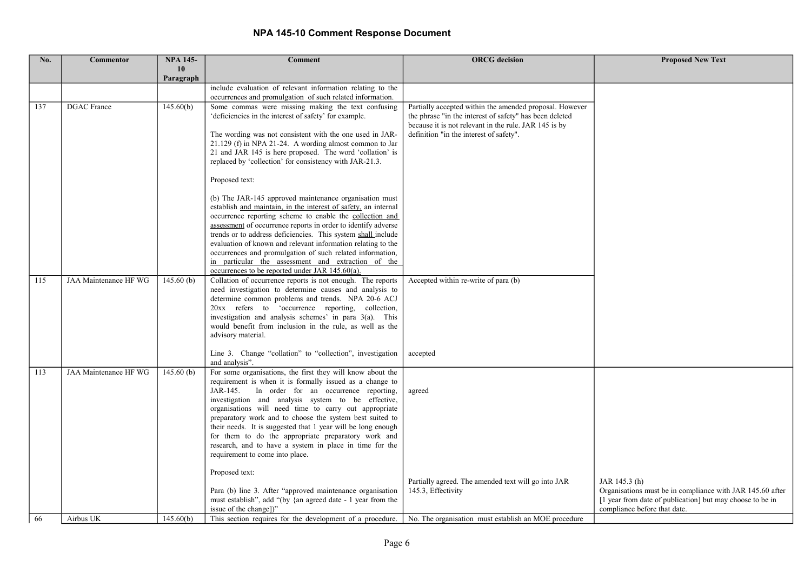| No. | <b>Commentor</b>             | <b>NPA 145-</b> | Comment                                                                                                                                                                                                                                                                                                                                                                                                                                                                                                                                                                                       | <b>ORCG</b> decision                                                                                                                                                                                                   | <b>Proposed New Text</b>                                                                                                                                                |
|-----|------------------------------|-----------------|-----------------------------------------------------------------------------------------------------------------------------------------------------------------------------------------------------------------------------------------------------------------------------------------------------------------------------------------------------------------------------------------------------------------------------------------------------------------------------------------------------------------------------------------------------------------------------------------------|------------------------------------------------------------------------------------------------------------------------------------------------------------------------------------------------------------------------|-------------------------------------------------------------------------------------------------------------------------------------------------------------------------|
|     |                              | 10<br>Paragraph |                                                                                                                                                                                                                                                                                                                                                                                                                                                                                                                                                                                               |                                                                                                                                                                                                                        |                                                                                                                                                                         |
|     |                              |                 | include evaluation of relevant information relating to the                                                                                                                                                                                                                                                                                                                                                                                                                                                                                                                                    |                                                                                                                                                                                                                        |                                                                                                                                                                         |
|     |                              |                 | occurrences and promulgation of such related information.                                                                                                                                                                                                                                                                                                                                                                                                                                                                                                                                     |                                                                                                                                                                                                                        |                                                                                                                                                                         |
| 137 | <b>DGAC</b> France           | 145.60(b)       | Some commas were missing making the text confusing<br>'deficiencies in the interest of safety' for example.<br>The wording was not consistent with the one used in JAR-<br>21.129 (f) in NPA 21-24. A wording almost common to Jar<br>21 and JAR 145 is here proposed. The word 'collation' is<br>replaced by 'collection' for consistency with JAR-21.3.<br>Proposed text:                                                                                                                                                                                                                   | Partially accepted within the amended proposal. However<br>the phrase "in the interest of safety" has been deleted<br>because it is not relevant in the rule. JAR 145 is by<br>definition "in the interest of safety". |                                                                                                                                                                         |
|     |                              |                 | (b) The JAR-145 approved maintenance organisation must<br>establish and maintain, in the interest of safety, an internal<br>occurrence reporting scheme to enable the collection and<br>assessment of occurrence reports in order to identify adverse<br>trends or to address deficiencies. This system shall include<br>evaluation of known and relevant information relating to the<br>occurrences and promulgation of such related information,<br>in particular the assessment and extraction of the<br>occurrences to be reported under JAR 145.60(a).                                   |                                                                                                                                                                                                                        |                                                                                                                                                                         |
| 115 | <b>JAA Maintenance HF WG</b> | 145.60(b)       | Collation of occurrence reports is not enough. The reports<br>need investigation to determine causes and analysis to<br>determine common problems and trends. NPA 20-6 ACJ<br>20xx refers to 'occurrence reporting, collection,<br>investigation and analysis schemes' in para 3(a). This<br>would benefit from inclusion in the rule, as well as the<br>advisory material.<br>Line 3. Change "collation" to "collection", investigation                                                                                                                                                      | Accepted within re-write of para (b)<br>accepted                                                                                                                                                                       |                                                                                                                                                                         |
| 113 | JAA Maintenance HF WG        | 145.60(b)       | and analysis".<br>For some organisations, the first they will know about the<br>requirement is when it is formally issued as a change to<br>In order for an occurrence reporting,<br>JAR-145.<br>investigation and analysis system to be effective,<br>organisations will need time to carry out appropriate<br>preparatory work and to choose the system best suited to<br>their needs. It is suggested that 1 year will be long enough<br>for them to do the appropriate preparatory work and<br>research, and to have a system in place in time for the<br>requirement to come into place. | agreed                                                                                                                                                                                                                 |                                                                                                                                                                         |
| 66  | Airbus UK                    | 145.60(b)       | Proposed text:<br>Para (b) line 3. After "approved maintenance organisation<br>must establish", add "(by {an agreed date - 1 year from the<br>issue of the change])"<br>This section requires for the development of a procedure.                                                                                                                                                                                                                                                                                                                                                             | Partially agreed. The amended text will go into JAR<br>145.3, Effectivity<br>No. The organisation must establish an MOE procedure                                                                                      | JAR 145.3 (h)<br>Organisations must be in compliance with JAR 145.60 after<br>[1 year from date of publication] but may choose to be in<br>compliance before that date. |
|     |                              |                 |                                                                                                                                                                                                                                                                                                                                                                                                                                                                                                                                                                                               |                                                                                                                                                                                                                        |                                                                                                                                                                         |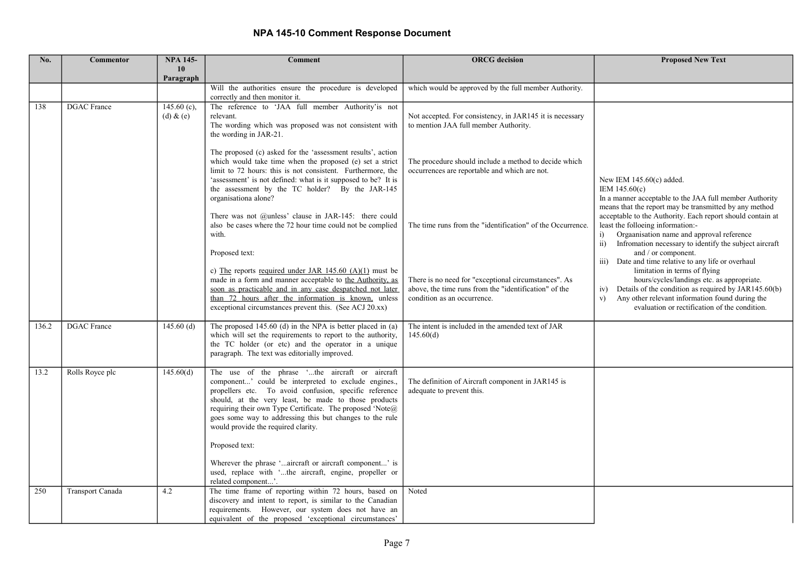| No.   | <b>Commentor</b>   | <b>NPA 145-</b><br>10           | <b>Comment</b>                                                                                                                                                                                                                                                                                                                                                                                                                                                                                                                   | <b>ORCG</b> decision                                                                                                                         | <b>Proposed New Text</b>                                                                                                                                                                                                                                                                                                                          |
|-------|--------------------|---------------------------------|----------------------------------------------------------------------------------------------------------------------------------------------------------------------------------------------------------------------------------------------------------------------------------------------------------------------------------------------------------------------------------------------------------------------------------------------------------------------------------------------------------------------------------|----------------------------------------------------------------------------------------------------------------------------------------------|---------------------------------------------------------------------------------------------------------------------------------------------------------------------------------------------------------------------------------------------------------------------------------------------------------------------------------------------------|
|       |                    | Paragraph                       |                                                                                                                                                                                                                                                                                                                                                                                                                                                                                                                                  |                                                                                                                                              |                                                                                                                                                                                                                                                                                                                                                   |
|       |                    |                                 | Will the authorities ensure the procedure is developed<br>correctly and then monitor it.                                                                                                                                                                                                                                                                                                                                                                                                                                         | which would be approved by the full member Authority.                                                                                        |                                                                                                                                                                                                                                                                                                                                                   |
| 138   | <b>DGAC</b> France | 145.60 $(c)$ ,<br>$(d)$ & $(e)$ | The reference to 'JAA full member Authority'is not<br>relevant.<br>The wording which was proposed was not consistent with<br>the wording in JAR-21.                                                                                                                                                                                                                                                                                                                                                                              | Not accepted. For consistency, in JAR145 it is necessary<br>to mention JAA full member Authority.                                            |                                                                                                                                                                                                                                                                                                                                                   |
|       |                    |                                 | The proposed (c) asked for the 'assessment results', action<br>which would take time when the proposed (e) set a strict<br>limit to 72 hours: this is not consistent. Furthermore, the<br>'assessment' is not defined: what is it supposed to be? It is<br>the assessment by the TC holder? By the JAR-145<br>organisationa alone?                                                                                                                                                                                               | The procedure should include a method to decide which<br>occurrences are reportable and which are not.                                       | New IEM 145.60(c) added.<br>IEM $145.60(c)$<br>In a manner acceptable to the JAA full member Authority<br>means that the report may be transmitted by any method                                                                                                                                                                                  |
|       |                    |                                 | There was not @unless' clause in JAR-145: there could<br>also be cases where the 72 hour time could not be complied<br>with.                                                                                                                                                                                                                                                                                                                                                                                                     | The time runs from the "identification" of the Occurrence.                                                                                   | acceptable to the Authority. Each report should contain at<br>least the folloeing information:-<br>Orgaanisation name and approval reference<br>i)<br>Infromation necessary to identify the subject aircraft<br>$\overline{11}$                                                                                                                   |
|       |                    |                                 | Proposed text:<br>c) The reports required under JAR $145.60$ (A)(1) must be<br>made in a form and manner acceptable to the Authority, as<br>soon as practicable and in any case despatched not later<br>than 72 hours after the information is known, unless<br>exceptional circumstances prevent this. (See ACJ 20.xx)                                                                                                                                                                                                          | There is no need for "exceptional circumstances". As<br>above, the time runs from the "identification" of the<br>condition as an occurrence. | and / or component.<br>Date and time relative to any life or overhaul<br>$\overline{iii}$<br>limitation in terms of flying<br>hours/cycles/landings etc. as appropriate.<br>Details of the condition as required by JAR145.60(b)<br>iv)<br>Any other relevant information found during the<br>V)<br>evaluation or rectification of the condition. |
| 136.2 | <b>DGAC</b> France | $145.60$ (d)                    | The proposed $145.60$ (d) in the NPA is better placed in (a)<br>which will set the requirements to report to the authority,<br>the TC holder (or etc) and the operator in a unique<br>paragraph. The text was editorially improved.                                                                                                                                                                                                                                                                                              | The intent is included in the amended text of JAR<br>145.60(d)                                                                               |                                                                                                                                                                                                                                                                                                                                                   |
| 13.2  | Rolls Royce plc    | 145.60(d)                       | The use of the phrase 'the aircraft or aircraft<br>component' could be interpreted to exclude engines.,<br>propellers etc. To avoid confusion, specific reference<br>should, at the very least, be made to those products<br>requiring their own Type Certificate. The proposed 'Note@<br>goes some way to addressing this but changes to the rule<br>would provide the required clarity.<br>Proposed text:<br>Wherever the phrase 'aircraft or aircraft component' is<br>used, replace with 'the aircraft, engine, propeller or | The definition of Aircraft component in JAR145 is<br>adequate to prevent this.                                                               |                                                                                                                                                                                                                                                                                                                                                   |
|       |                    |                                 | related component'.                                                                                                                                                                                                                                                                                                                                                                                                                                                                                                              |                                                                                                                                              |                                                                                                                                                                                                                                                                                                                                                   |
| 250   | Transport Canada   | 4.2                             | The time frame of reporting within 72 hours, based on<br>discovery and intent to report, is similar to the Canadian<br>requirements. However, our system does not have an<br>equivalent of the proposed 'exceptional circumstances'                                                                                                                                                                                                                                                                                              | Noted                                                                                                                                        |                                                                                                                                                                                                                                                                                                                                                   |